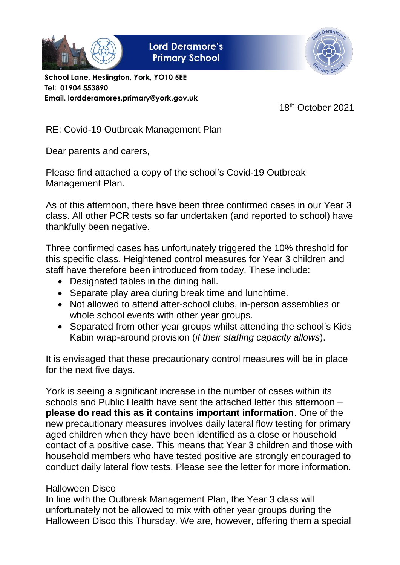

**Lord Deramore's Primary School** 



**School Lane, Heslington, York, YO10 5EE Tel: 01904 553890 Email. lordderamores.primary@york.gov.uk**

18th October 2021

RE: Covid-19 Outbreak Management Plan

Dear parents and carers,

Please find attached a copy of the school's Covid-19 Outbreak Management Plan.

As of this afternoon, there have been three confirmed cases in our Year 3 class. All other PCR tests so far undertaken (and reported to school) have thankfully been negative.

Three confirmed cases has unfortunately triggered the 10% threshold for this specific class. Heightened control measures for Year 3 children and staff have therefore been introduced from today. These include:

- Designated tables in the dining hall.
- Separate play area during break time and lunchtime.
- Not allowed to attend after-school clubs, in-person assemblies or whole school events with other year groups.
- Separated from other year groups whilst attending the school's Kids Kabin wrap-around provision (*if their staffing capacity allows*).

It is envisaged that these precautionary control measures will be in place for the next five days.

York is seeing a significant increase in the number of cases within its schools and Public Health have sent the attached letter this afternoon – **please do read this as it contains important information**. One of the new precautionary measures involves daily lateral flow testing for primary aged children when they have been identified as a close or household contact of a positive case. This means that Year 3 children and those with household members who have tested positive are strongly encouraged to conduct daily lateral flow tests. Please see the letter for more information.

## Halloween Disco

In line with the Outbreak Management Plan, the Year 3 class will unfortunately not be allowed to mix with other year groups during the Halloween Disco this Thursday. We are, however, offering them a special